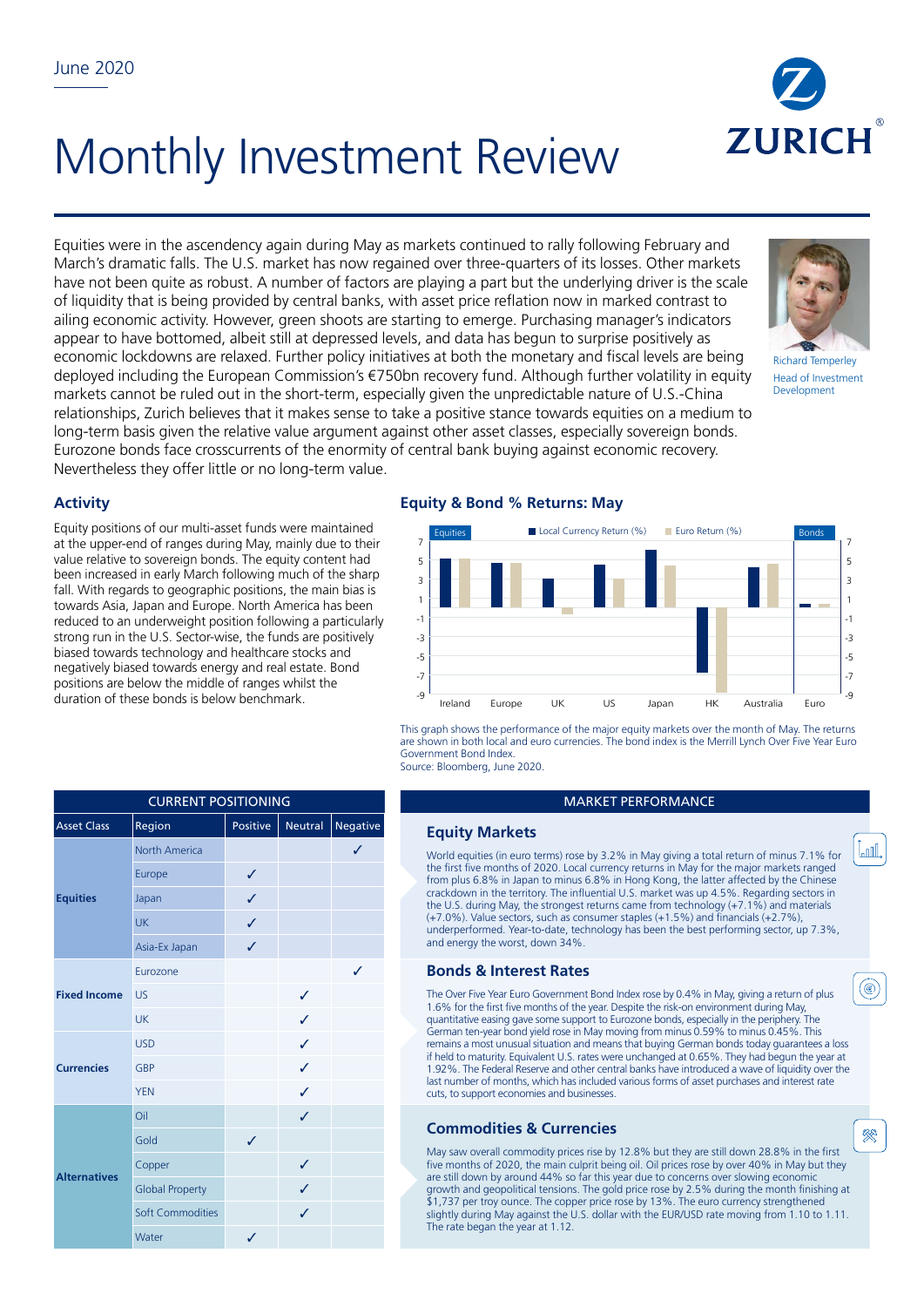**Activity**

# Monthly Investment Review

Equities were in the ascendency again during May as markets continued to rally following February and March's dramatic falls. The U.S. market has now regained over three-quarters of its losses. Other markets have not been quite as robust. A number of factors are playing a part but the underlying driver is the scale of liquidity that is being provided by central banks, with asset price reflation now in marked contrast to ailing economic activity. However, green shoots are starting to emerge. Purchasing manager's indicators appear to have bottomed, albeit still at depressed levels, and data has begun to surprise positively as economic lockdowns are relaxed. Further policy initiatives at both the monetary and fiscal levels are being deployed including the European Commission's €750bn recovery fund. Although further volatility in equity markets cannot be ruled out in the short-term, especially given the unpredictable nature of U.S.-China relationships, Zurich believes that it makes sense to take a positive stance towards equities on a medium to long-term basis given the relative value argument against other asset classes, especially sovereign bonds. Eurozone bonds face crosscurrents of the enormity of central bank buying against economic recovery. Nevertheless they offer little or no long-term value.

> 5 7

# **Equity & Bond % Returns: May**



E Local Currency Return (%) Euro Return (%)

This graph shows the performance of the major equity markets over the month of May. The returns are shown in both local and euro currencies. The bond index is the Merrill Lynch Over Five Year Euro Government Bond Index. Source: Bloomberg, June 2020.

#### **MARKET PERFORMANCE**

### **Equity Markets**

World equities (in euro terms) rose by 3.2% in May giving a total return of minus 7.1% for the first five months of 2020. Local currency returns in May for the major markets ranged from plus 6.8% in Japan to minus 6.8% in Hong Kong, the latter affected by the Chinese crackdown in the territory. The influential U.S. market was up 4.5%. Regarding sectors in the U.S. during May, the strongest returns came from technology (+7.1%) and materials (+7.0%). Value sectors, such as consumer staples (+1.5%) and financials (+2.7%), underperformed. Year-to-date, technology has been the best performing sector, up 7.3%, and energy the worst, down 34%.

# **Bonds & Interest Rates**

The Over Five Year Euro Government Bond Index rose by 0.4% in May, giving a return of plus 1.6% for the first five months of the year. Despite the risk-on environment during May, quantitative easing gave some support to Eurozone bonds, especially in the periphery. The German ten-year bond yield rose in May moving from minus 0.59% to minus 0.45%. This remains a most unusual situation and means that buying German bonds today guarantees a loss if held to maturity. Equivalent U.S. rates were unchanged at 0.65%. They had begun the year at 1.92%. The Federal Reserve and other central banks have introduced a wave of liquidity over the last number of months, which has included various forms of asset purchases and interest rate cuts, to support economies and businesses.

# **Commodities & Currencies**

May saw overall commodity prices rise by 12.8% but they are still down 28.8% in the first five months of 2020, the main culprit being oil. Oil prices rose by over 40% in May but they are still down by around 44% so far this year due to concerns over slowing economic growth and geopolitical tensions. The gold price rose by 2.5% during the month finishing at \$1,737 per troy ounce. The copper price rose by 13%. The euro currency strengthened slightly during May against the U.S. dollar with the EUR/USD rate moving from 1.10 to 1.11. The rate began the year at 1.12.

| <b>CURRENT POSITIONING</b> |                        |          |         |              |  |  |  |  |
|----------------------------|------------------------|----------|---------|--------------|--|--|--|--|
| <b>Asset Class</b>         | Region                 | Positive | Neutral | Negative     |  |  |  |  |
| <b>Equities</b>            | North America          |          |         | $\checkmark$ |  |  |  |  |
|                            | Europe                 | ✓        |         |              |  |  |  |  |
|                            | Japan                  | J        |         |              |  |  |  |  |
|                            | <b>UK</b>              | ✓        |         |              |  |  |  |  |
|                            | Asia-Ex Japan          | J        |         |              |  |  |  |  |
| <b>Fixed Income</b>        | Eurozone               |          |         | ✓            |  |  |  |  |
|                            | <b>US</b>              |          | ✓       |              |  |  |  |  |
|                            | <b>UK</b>              |          | J       |              |  |  |  |  |
| <b>Currencies</b>          | <b>USD</b>             |          | ✓       |              |  |  |  |  |
|                            | GBP                    |          | ✓       |              |  |  |  |  |
|                            | <b>YEN</b>             |          | J       |              |  |  |  |  |
| <b>Alternatives</b>        | Oil                    |          | ✓       |              |  |  |  |  |
|                            | Gold                   | ✓        |         |              |  |  |  |  |
|                            | Copper                 |          | ✓       |              |  |  |  |  |
|                            | <b>Global Property</b> |          | ✓       |              |  |  |  |  |
|                            | Soft Commodities       |          | ✓       |              |  |  |  |  |
|                            | Water                  | ✓        |         |              |  |  |  |  |

Equity positions of our multi-asset funds were maintained at the upper-end of ranges during May, mainly due to their value relative to sovereign bonds. The equity content had been increased in early March following much of the sharp fall. With regards to geographic positions, the main bias is towards Asia, Japan and Europe. North America has been reduced to an underweight position following a particularly strong run in the U.S. Sector-wise, the funds are positively biased towards technology and healthcare stocks and negatively biased towards energy and real estate. Bond positions are below the middle of ranges whilst the duration of these bonds is below benchmark.

Richard Temperley Head of Investment Development

5 7





(⊛)

殩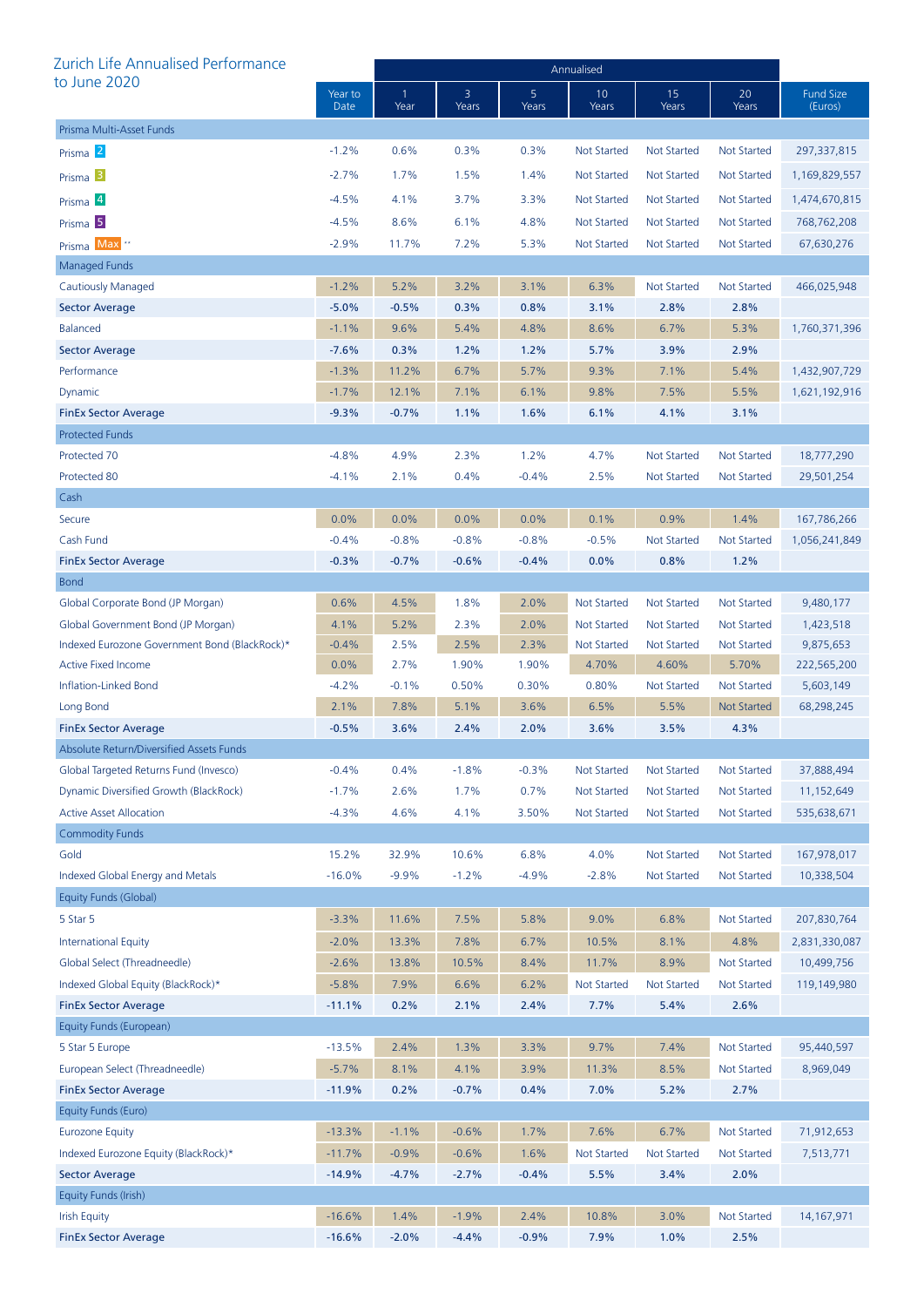| Zurich Life Annualised Performance            |                 | Annualised |            |            |                    |                    |                    |                             |  |
|-----------------------------------------------|-----------------|------------|------------|------------|--------------------|--------------------|--------------------|-----------------------------|--|
| to June 2020                                  | Year to<br>Date | 1<br>Year  | 3<br>Years | 5<br>Years | 10<br>Years        | 15<br>Years        | 20<br>Years        | <b>Fund Size</b><br>(Euros) |  |
| Prisma Multi-Asset Funds                      |                 |            |            |            |                    |                    |                    |                             |  |
| Prisma <sup>2</sup>                           | $-1.2%$         | 0.6%       | 0.3%       | 0.3%       | <b>Not Started</b> | <b>Not Started</b> | Not Started        | 297,337,815                 |  |
| Prisma <sup>3</sup>                           | $-2.7%$         | 1.7%       | 1.5%       | 1.4%       | <b>Not Started</b> | <b>Not Started</b> | Not Started        | 1,169,829,557               |  |
| Prisma 4                                      | $-4.5%$         | 4.1%       | 3.7%       | 3.3%       | <b>Not Started</b> | <b>Not Started</b> | Not Started        | 1,474,670,815               |  |
| Prisma <sup>5</sup>                           | $-4.5%$         | 8.6%       | 6.1%       | 4.8%       | <b>Not Started</b> | Not Started        | Not Started        | 768,762,208                 |  |
| Prisma Max <sup>*</sup>                       | $-2.9%$         | 11.7%      | 7.2%       | 5.3%       | <b>Not Started</b> | <b>Not Started</b> | Not Started        | 67,630,276                  |  |
| Managed Funds                                 |                 |            |            |            |                    |                    |                    |                             |  |
| Cautiously Managed                            | $-1.2%$         | 5.2%       | 3.2%       | 3.1%       | 6.3%               | <b>Not Started</b> | Not Started        | 466,025,948                 |  |
| <b>Sector Average</b>                         | $-5.0%$         | $-0.5%$    | 0.3%       | 0.8%       | 3.1%               | 2.8%               | 2.8%               |                             |  |
| <b>Balanced</b>                               | $-1.1%$         | 9.6%       | 5.4%       | 4.8%       | 8.6%               | 6.7%               | 5.3%               | 1,760,371,396               |  |
| <b>Sector Average</b>                         | $-7.6%$         | 0.3%       | 1.2%       | 1.2%       | 5.7%               | 3.9%               | 2.9%               |                             |  |
| Performance                                   | $-1.3%$         | 11.2%      | 6.7%       | 5.7%       | 9.3%               | 7.1%               | 5.4%               | 1,432,907,729               |  |
| Dynamic                                       | $-1.7%$         | 12.1%      | 7.1%       | 6.1%       | 9.8%               | 7.5%               | 5.5%               | 1,621,192,916               |  |
| <b>FinEx Sector Average</b>                   | $-9.3%$         | $-0.7%$    | 1.1%       | 1.6%       | 6.1%               | 4.1%               | 3.1%               |                             |  |
| <b>Protected Funds</b>                        |                 |            |            |            |                    |                    |                    |                             |  |
| Protected 70                                  | $-4.8%$         | 4.9%       | 2.3%       | 1.2%       | 4.7%               | <b>Not Started</b> | <b>Not Started</b> | 18,777,290                  |  |
| Protected 80                                  | $-4.1%$         | 2.1%       | 0.4%       | $-0.4%$    | 2.5%               | <b>Not Started</b> | <b>Not Started</b> | 29,501,254                  |  |
| Cash                                          |                 |            |            |            |                    |                    |                    |                             |  |
| Secure                                        | 0.0%            | 0.0%       | 0.0%       | 0.0%       | 0.1%               | 0.9%               | 1.4%               | 167,786,266                 |  |
| Cash Fund                                     | $-0.4%$         | $-0.8%$    | $-0.8%$    | $-0.8%$    | $-0.5%$            | <b>Not Started</b> | <b>Not Started</b> | 1,056,241,849               |  |
| <b>FinEx Sector Average</b>                   | $-0.3%$         | $-0.7%$    | $-0.6%$    | $-0.4%$    | 0.0%               | 0.8%               | 1.2%               |                             |  |
| <b>Bond</b>                                   |                 |            |            |            |                    |                    |                    |                             |  |
| Global Corporate Bond (JP Morgan)             | 0.6%            | 4.5%       | 1.8%       | 2.0%       | <b>Not Started</b> | <b>Not Started</b> | <b>Not Started</b> | 9,480,177                   |  |
| Global Government Bond (JP Morgan)            | 4.1%            | 5.2%       | 2.3%       | 2.0%       | <b>Not Started</b> | <b>Not Started</b> | Not Started        | 1,423,518                   |  |
| Indexed Eurozone Government Bond (BlackRock)* | $-0.4%$         | 2.5%       | 2.5%       | 2.3%       | <b>Not Started</b> | Not Started        | <b>Not Started</b> | 9,875,653                   |  |
| <b>Active Fixed Income</b>                    | 0.0%            | 2.7%       | 1.90%      | 1.90%      | 4.70%              | 4.60%              | 5.70%              | 222,565,200                 |  |
| Inflation-Linked Bond                         | $-4.2%$         | $-0.1%$    | 0.50%      | 0.30%      | 0.80%              | <b>Not Started</b> | <b>Not Started</b> | 5,603,149                   |  |
| Long Bond                                     | 2.1%            | 7.8%       | 5.1%       | 3.6%       | 6.5%               | 5.5%               | Not Started        | 68,298,245                  |  |
| <b>FinEx Sector Average</b>                   | $-0.5%$         | 3.6%       | 2.4%       | 2.0%       | 3.6%               | 3.5%               | 4.3%               |                             |  |
| Absolute Return/Diversified Assets Funds      |                 |            |            |            |                    |                    |                    |                             |  |
| Global Targeted Returns Fund (Invesco)        | $-0.4%$         | 0.4%       | $-1.8%$    | $-0.3%$    | <b>Not Started</b> | <b>Not Started</b> | Not Started        | 37,888,494                  |  |
| Dynamic Diversified Growth (BlackRock)        | $-1.7%$         | 2.6%       | 1.7%       | 0.7%       | <b>Not Started</b> | <b>Not Started</b> | <b>Not Started</b> | 11,152,649                  |  |
| <b>Active Asset Allocation</b>                | $-4.3%$         | 4.6%       | 4.1%       | 3.50%      | <b>Not Started</b> | <b>Not Started</b> | <b>Not Started</b> | 535,638,671                 |  |
| <b>Commodity Funds</b>                        |                 |            |            |            |                    |                    |                    |                             |  |
| Gold                                          | 15.2%           | 32.9%      | 10.6%      | 6.8%       | 4.0%               | Not Started        | <b>Not Started</b> | 167,978,017                 |  |
| Indexed Global Energy and Metals              | $-16.0%$        | $-9.9%$    | $-1.2%$    | $-4.9%$    | $-2.8%$            | <b>Not Started</b> | <b>Not Started</b> | 10,338,504                  |  |
| Equity Funds (Global)                         |                 |            |            |            |                    |                    |                    |                             |  |
| 5 Star 5                                      | $-3.3%$         | 11.6%      | 7.5%       | 5.8%       | 9.0%               | 6.8%               | <b>Not Started</b> | 207,830,764                 |  |
| <b>International Equity</b>                   | $-2.0%$         | 13.3%      | 7.8%       | 6.7%       | 10.5%              | 8.1%               | 4.8%               | 2,831,330,087               |  |
| Global Select (Threadneedle)                  | $-2.6%$         | 13.8%      | 10.5%      | 8.4%       | 11.7%              | 8.9%               | <b>Not Started</b> | 10,499,756                  |  |
| Indexed Global Equity (BlackRock)*            | $-5.8%$         | 7.9%       | 6.6%       | 6.2%       | Not Started        | <b>Not Started</b> | <b>Not Started</b> | 119,149,980                 |  |
| <b>FinEx Sector Average</b>                   | $-11.1%$        | 0.2%       | 2.1%       | 2.4%       | 7.7%               | 5.4%               | 2.6%               |                             |  |
| Equity Funds (European)                       |                 |            |            |            |                    |                    |                    |                             |  |
| 5 Star 5 Europe                               | $-13.5%$        | 2.4%       | 1.3%       | 3.3%       | 9.7%               | 7.4%               | <b>Not Started</b> | 95,440,597                  |  |
| European Select (Threadneedle)                | $-5.7%$         | 8.1%       | 4.1%       | 3.9%       | 11.3%              | 8.5%               | <b>Not Started</b> | 8,969,049                   |  |
| <b>FinEx Sector Average</b>                   | $-11.9%$        | 0.2%       | $-0.7%$    | 0.4%       | 7.0%               | 5.2%               | 2.7%               |                             |  |
| Equity Funds (Euro)                           |                 |            |            |            |                    |                    |                    |                             |  |
| <b>Eurozone Equity</b>                        | $-13.3%$        | $-1.1%$    | $-0.6%$    | 1.7%       | 7.6%               | 6.7%               | <b>Not Started</b> | 71,912,653                  |  |
| Indexed Eurozone Equity (BlackRock)*          | $-11.7%$        | $-0.9%$    | $-0.6%$    | 1.6%       | <b>Not Started</b> | <b>Not Started</b> | <b>Not Started</b> | 7,513,771                   |  |
| <b>Sector Average</b>                         | $-14.9%$        | $-4.7%$    | $-2.7%$    | $-0.4%$    | 5.5%               | 3.4%               | 2.0%               |                             |  |
| Equity Funds (Irish)                          |                 |            |            |            |                    |                    |                    |                             |  |
| <b>Irish Equity</b>                           | $-16.6%$        | 1.4%       | $-1.9%$    | 2.4%       | 10.8%              | 3.0%               | <b>Not Started</b> | 14, 167, 971                |  |
| <b>FinEx Sector Average</b>                   | $-16.6%$        | $-2.0%$    | $-4.4%$    | $-0.9%$    | 7.9%               | 1.0%               | 2.5%               |                             |  |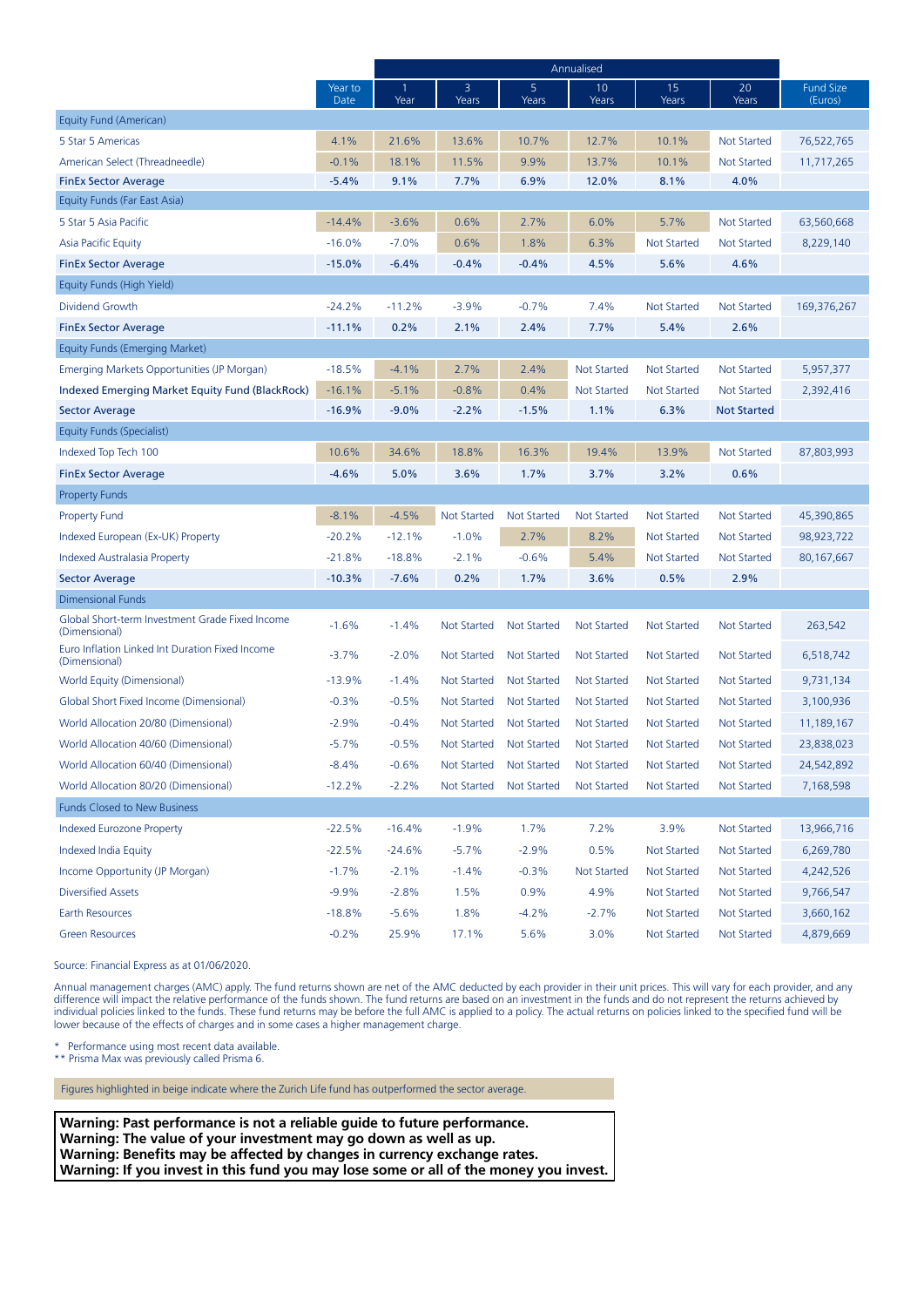|                                                                  |                 | Annualised |                    |                    |                    |                    |                    |                             |
|------------------------------------------------------------------|-----------------|------------|--------------------|--------------------|--------------------|--------------------|--------------------|-----------------------------|
|                                                                  | Year to<br>Date | -1<br>Year | 3<br>Years         | 5<br>Years         | 10<br>Years        | 15<br>Years        | 20<br>Years        | <b>Fund Size</b><br>(Euros) |
| Equity Fund (American)                                           |                 |            |                    |                    |                    |                    |                    |                             |
| 5 Star 5 Americas                                                | 4.1%            | 21.6%      | 13.6%              | 10.7%              | 12.7%              | 10.1%              | <b>Not Started</b> | 76,522,765                  |
| American Select (Threadneedle)                                   | $-0.1%$         | 18.1%      | 11.5%              | 9.9%               | 13.7%              | 10.1%              | <b>Not Started</b> | 11,717,265                  |
| <b>FinEx Sector Average</b>                                      | $-5.4%$         | 9.1%       | 7.7%               | 6.9%               | 12.0%              | 8.1%               | 4.0%               |                             |
| Equity Funds (Far East Asia)                                     |                 |            |                    |                    |                    |                    |                    |                             |
| 5 Star 5 Asia Pacific                                            | $-14.4%$        | $-3.6%$    | 0.6%               | 2.7%               | 6.0%               | 5.7%               | <b>Not Started</b> | 63,560,668                  |
| <b>Asia Pacific Equity</b>                                       | $-16.0%$        | $-7.0%$    | 0.6%               | 1.8%               | 6.3%               | <b>Not Started</b> | <b>Not Started</b> | 8,229,140                   |
| <b>FinEx Sector Average</b>                                      | $-15.0%$        | $-6.4%$    | $-0.4%$            | $-0.4%$            | 4.5%               | 5.6%               | 4.6%               |                             |
| Equity Funds (High Yield)                                        |                 |            |                    |                    |                    |                    |                    |                             |
| Dividend Growth                                                  | $-24.2%$        | $-11.2%$   | $-3.9%$            | $-0.7%$            | 7.4%               | <b>Not Started</b> | Not Started        | 169,376,267                 |
| <b>FinEx Sector Average</b>                                      | $-11.1%$        | 0.2%       | 2.1%               | 2.4%               | 7.7%               | 5.4%               | 2.6%               |                             |
| Equity Funds (Emerging Market)                                   |                 |            |                    |                    |                    |                    |                    |                             |
| Emerging Markets Opportunities (JP Morgan)                       | $-18.5%$        | $-4.1%$    | 2.7%               | 2.4%               | <b>Not Started</b> | <b>Not Started</b> | Not Started        | 5,957,377                   |
| Indexed Emerging Market Equity Fund (BlackRock)                  | $-16.1%$        | $-5.1%$    | $-0.8%$            | 0.4%               | <b>Not Started</b> | <b>Not Started</b> | <b>Not Started</b> | 2,392,416                   |
| <b>Sector Average</b>                                            | $-16.9%$        | $-9.0%$    | $-2.2%$            | $-1.5%$            | 1.1%               | 6.3%               | <b>Not Started</b> |                             |
| Equity Funds (Specialist)                                        |                 |            |                    |                    |                    |                    |                    |                             |
| Indexed Top Tech 100                                             | 10.6%           | 34.6%      | 18.8%              | 16.3%              | 19.4%              | 13.9%              | <b>Not Started</b> | 87,803,993                  |
| <b>FinEx Sector Average</b>                                      | $-4.6%$         | 5.0%       | 3.6%               | 1.7%               | 3.7%               | 3.2%               | 0.6%               |                             |
| <b>Property Funds</b>                                            |                 |            |                    |                    |                    |                    |                    |                             |
| <b>Property Fund</b>                                             | $-8.1%$         | $-4.5%$    | <b>Not Started</b> | <b>Not Started</b> | <b>Not Started</b> | <b>Not Started</b> | <b>Not Started</b> | 45,390,865                  |
| Indexed European (Ex-UK) Property                                | $-20.2%$        | $-12.1%$   | $-1.0%$            | 2.7%               | 8.2%               | <b>Not Started</b> | <b>Not Started</b> | 98,923,722                  |
| Indexed Australasia Property                                     | $-21.8%$        | $-18.8%$   | $-2.1%$            | $-0.6%$            | 5.4%               | <b>Not Started</b> | <b>Not Started</b> | 80, 167, 667                |
| Sector Average                                                   | $-10.3%$        | $-7.6%$    | 0.2%               | 1.7%               | 3.6%               | 0.5%               | 2.9%               |                             |
| <b>Dimensional Funds</b>                                         |                 |            |                    |                    |                    |                    |                    |                             |
| Global Short-term Investment Grade Fixed Income<br>(Dimensional) | $-1.6%$         | $-1.4%$    | <b>Not Started</b> | <b>Not Started</b> | <b>Not Started</b> | <b>Not Started</b> | <b>Not Started</b> | 263,542                     |
| Euro Inflation Linked Int Duration Fixed Income<br>(Dimensional) | $-3.7%$         | $-2.0%$    | <b>Not Started</b> | Not Started        | <b>Not Started</b> | Not Started        | <b>Not Started</b> | 6,518,742                   |
| World Equity (Dimensional)                                       | $-13.9%$        | $-1.4%$    | <b>Not Started</b> | Not Started        | <b>Not Started</b> | Not Started        | Not Started        | 9,731,134                   |
| Global Short Fixed Income (Dimensional)                          | $-0.3%$         | $-0.5%$    | Not Started        | Not Started        | <b>Not Started</b> | Not Started        | <b>Not Started</b> | 3,100,936                   |
| World Allocation 20/80 (Dimensional)                             | $-2.9%$         | $-0.4%$    | Not Started        | Not Started        | <b>Not Started</b> | <b>Not Started</b> | Not Started        | 11,189,167                  |
| World Allocation 40/60 (Dimensional)                             | $-5.7%$         | $-0.5%$    | Not Started        | Not Started        | <b>Not Started</b> | <b>Not Started</b> | <b>Not Started</b> | 23,838,023                  |
| World Allocation 60/40 (Dimensional)                             | $-8.4%$         | $-0.6%$    | Not Started        | Not Started        | Not Started        | Not Started        | Not Started        | 24,542,892                  |
| World Allocation 80/20 (Dimensional)                             | $-12.2%$        | $-2.2%$    | <b>Not Started</b> | <b>Not Started</b> | <b>Not Started</b> | <b>Not Started</b> | Not Started        | 7,168,598                   |
| <b>Funds Closed to New Business</b>                              |                 |            |                    |                    |                    |                    |                    |                             |
| <b>Indexed Eurozone Property</b>                                 | $-22.5%$        | $-16.4%$   | $-1.9%$            | 1.7%               | 7.2%               | 3.9%               | Not Started        | 13,966,716                  |
| Indexed India Equity                                             | $-22.5%$        | $-24.6%$   | $-5.7%$            | $-2.9%$            | 0.5%               | <b>Not Started</b> | <b>Not Started</b> | 6,269,780                   |
| Income Opportunity (JP Morgan)                                   | $-1.7%$         | $-2.1%$    | $-1.4%$            | $-0.3%$            | <b>Not Started</b> | <b>Not Started</b> | <b>Not Started</b> | 4,242,526                   |
| <b>Diversified Assets</b>                                        | $-9.9%$         | $-2.8%$    | 1.5%               | 0.9%               | 4.9%               | <b>Not Started</b> | <b>Not Started</b> | 9,766,547                   |
| Earth Resources                                                  | $-18.8%$        | $-5.6%$    | 1.8%               | $-4.2%$            | $-2.7%$            | <b>Not Started</b> | Not Started        | 3,660,162                   |
| <b>Green Resources</b>                                           | $-0.2%$         | 25.9%      | 17.1%              | 5.6%               | 3.0%               | <b>Not Started</b> | <b>Not Started</b> | 4,879,669                   |

Source: Financial Express as at 01/06/2020.

Annual management charges (AMC) apply. The fund returns shown are net of the AMC deducted by each provider in their unit prices. This will vary for each provider, and any difference will impact the relative performance of the funds shown. The fund returns are based on an investment in the funds and do not represent the returns achieved by individual policies linked to the funds. These fund returns may be before the full AMC is applied to a policy. The actual returns on policies linked to the specified fund will be lower because of the effects of charges and in some cases a higher management charge.

Performance using most recent data available.

\*\* Prisma Max was previously called Prisma 6.

Figures highlighted in beige indicate where the Zurich Life fund has outperformed the sector average.

**Warning: Past performance is not a reliable guide to future performance. Warning: The value of your investment may go down as well as up. Warning: Benefits may be affected by changes in currency exchange rates. Warning: If you invest in this fund you may lose some or all of the money you invest.**